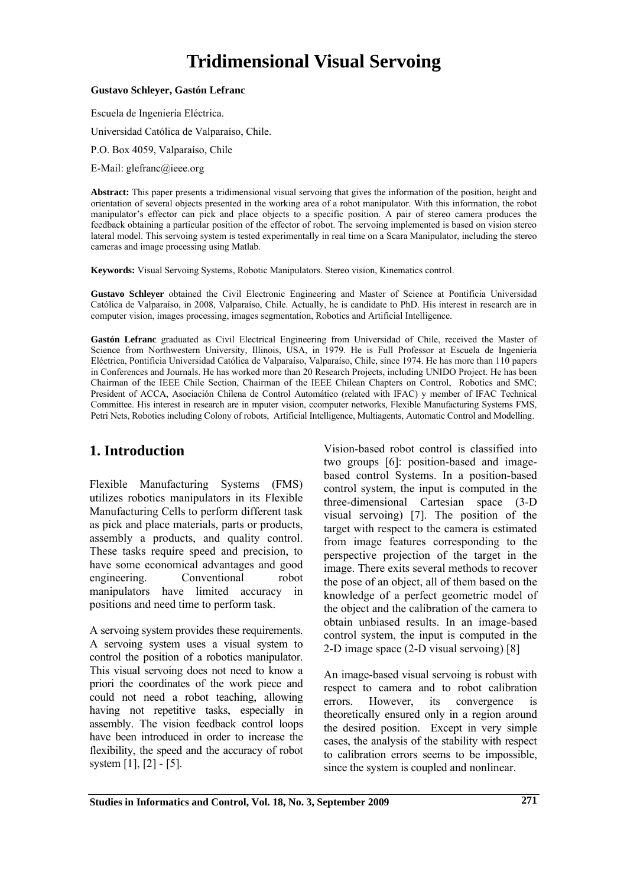# **Tridimensional Visual Servoing**

#### **Gustavo Schleyer, Gastón Lefranc**

Escuela de Ingeniería Eléctrica.

Universidad Católica de Valparaíso, Chile.

P.O. Box 4059, Valparaíso, Chile

E-Mail: glefranc@ieee.org

**Abstract:** This paper presents a tridimensional visual servoing that gives the information of the position, height and orientation of several objects presented in the working area of a robot manipulator. With this information, the robot manipulator's effector can pick and place objects to a specific position. A pair of stereo camera produces the feedback obtaining a particular position of the effector of robot. The servoing implemented is based on vision stereo lateral model. This servoing system is tested experimentally in real time on a Scara Manipulator, including the stereo cameras and image processing using Matlab.

**Keywords:** Visual Servoing Systems, Robotic Manipulators. Stereo vision, Kinematics control.

**Gustavo Schleyer** obtained the Civil Electronic Engineering and Master of Science at Pontificia Universidad Católica de Valparaíso, in 2008, Valparaíso, Chile. Actually, he is candidate to PhD. His interest in research are in computer vision, images processing, images segmentation, Robotics and Artificial Intelligence.

**Gastón Lefranc** graduated as Civil Electrical Engineering from Universidad of Chile, received the Master of Science from Northwestern University, Illinois, USA, in 1979. He is Full Professor at Escuela de Ingeniería Eléctrica, Pontificia Universidad Católica de Valparaíso, Valparaíso, Chile, since 1974. He has more than 110 papers in Conferences and Journals. He has worked more than 20 Research Projects, including UNIDO Project. He has been Chairman of the IEEE Chile Section, Chairman of the IEEE Chilean Chapters on Control, Robotics and SMC; President of ACCA, Asociación Chilena de Control Automático (related with IFAC) y member of IFAC Technical Committee. His interest in research are in mputer vision, ccomputer networks, Flexible Manufacturing Systems FMS, Petri Nets, Robotics including Colony of robots, Artificial Intelligence, Multiagents, Automatic Control and Modelling.

## **1. Introduction**

Flexible Manufacturing Systems (FMS) utilizes robotics manipulators in its Flexible Manufacturing Cells to perform different task as pick and place materials, parts or products, assembly a products, and quality control. These tasks require speed and precision, to have some economical advantages and good engineering. Conventional robot manipulators have limited accuracy in positions and need time to perform task.

A servoing system provides these requirements. A servoing system uses a visual system to control the position of a robotics manipulator. This visual servoing does not need to know a priori the coordinates of the work piece and could not need a robot teaching, allowing having not repetitive tasks, especially in assembly. The vision feedback control loops have been introduced in order to increase the flexibility, the speed and the accuracy of robot system [1], [2] - [5].

Vision-based robot control is classified into two groups [6]: position-based and imagebased control Systems. In a position-based control system, the input is computed in the three-dimensional Cartesian space (3-D visual servoing) [7]. The position of the target with respect to the camera is estimated from image features corresponding to the perspective projection of the target in the image. There exits several methods to recover the pose of an object, all of them based on the knowledge of a perfect geometric model of the object and the calibration of the camera to obtain unbiased results. In an image-based control system, the input is computed in the 2-D image space (2-D visual servoing) [8]

An image-based visual servoing is robust with respect to camera and to robot calibration errors. However, its convergence is theoretically ensured only in a region around the desired position. Except in very simple cases, the analysis of the stability with respect to calibration errors seems to be impossible, since the system is coupled and nonlinear.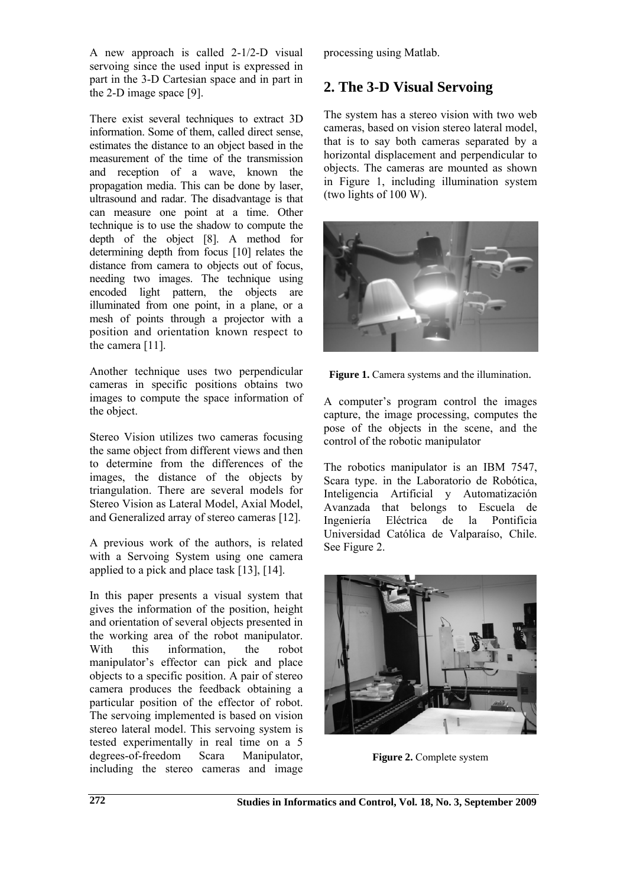A new approach is called 2-1/2-D visual servoing since the used input is expressed in part in the 3-D Cartesian space and in part in the 2-D image space [9].

There exist several techniques to extract 3D information. Some of them, called direct sense, estimates the distance to an object based in the measurement of the time of the transmission and reception of a wave, known the propagation media. This can be done by laser, ultrasound and radar. The disadvantage is that can measure one point at a time. Other technique is to use the shadow to compute the depth of the object [8]. A method for determining depth from focus [10] relates the distance from camera to objects out of focus, needing two images. The technique using encoded light pattern, the objects are illuminated from one point, in a plane, or a mesh of points through a projector with a position and orientation known respect to the camera [11].

Another technique uses two perpendicular cameras in specific positions obtains two images to compute the space information of the object.

Stereo Vision utilizes two cameras focusing the same object from different views and then to determine from the differences of the images, the distance of the objects by triangulation. There are several models for Stereo Vision as Lateral Model, Axial Model, and Generalized array of stereo cameras [12].

A previous work of the authors, is related with a Servoing System using one camera applied to a pick and place task [13], [14].

In this paper presents a visual system that gives the information of the position, height and orientation of several objects presented in the working area of the robot manipulator. With this information, the robot manipulator's effector can pick and place objects to a specific position. A pair of stereo camera produces the feedback obtaining a particular position of the effector of robot. The servoing implemented is based on vision stereo lateral model. This servoing system is tested experimentally in real time on a 5 degrees-of-freedom Scara Manipulator, including the stereo cameras and image

processing using Matlab.

# **2. The 3-D Visual Servoing**

The system has a stereo vision with two web cameras, based on vision stereo lateral model, that is to say both cameras separated by a horizontal displacement and perpendicular to objects. The cameras are mounted as shown in Figure 1, including illumination system (two lights of 100 W).



Figure 1. Camera systems and the illumination.

A computer's program control the images capture, the image processing, computes the pose of the objects in the scene, and the control of the robotic manipulator

The robotics manipulator is an IBM 7547, Scara type. in the Laboratorio de Robótica, Inteligencia Artificial y Automatización Avanzada that belongs to Escuela de Ingeniería Eléctrica de la Pontificia Universidad Católica de Valparaíso, Chile. See Figure 2.



**Figure 2.** Complete system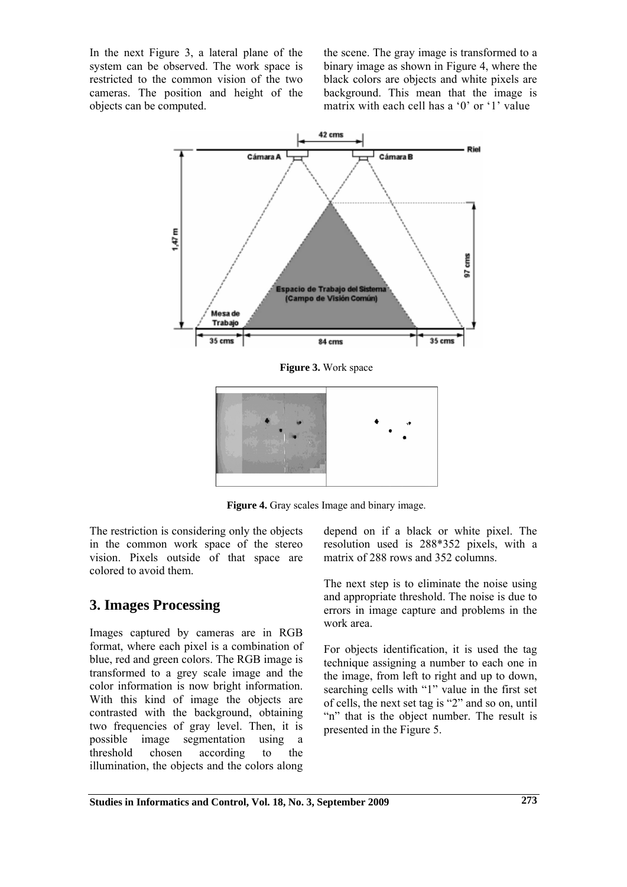In the next Figure 3, a lateral plane of the system can be observed. The work space is restricted to the common vision of the two cameras. The position and height of the objects can be computed.

the scene. The gray image is transformed to a binary image as shown in Figure 4, where the black colors are objects and white pixels are background. This mean that the image is matrix with each cell has a '0' or '1' value



**Figure 3.** Work space



**Figure 4.** Gray scales Image and binary image.

The restriction is considering only the objects in the common work space of the stereo vision. Pixels outside of that space are colored to avoid them.

# **3. Images Processing**

Images captured by cameras are in RGB format, where each pixel is a combination of blue, red and green colors. The RGB image is transformed to a grey scale image and the color information is now bright information. With this kind of image the objects are contrasted with the background, obtaining two frequencies of gray level. Then, it is possible image segmentation using a threshold chosen according to the illumination, the objects and the colors along depend on if a black or white pixel. The resolution used is 288\*352 pixels, with a matrix of 288 rows and 352 columns.

The next step is to eliminate the noise using and appropriate threshold. The noise is due to errors in image capture and problems in the work area.

For objects identification, it is used the tag technique assigning a number to each one in the image, from left to right and up to down, searching cells with "1" value in the first set of cells, the next set tag is "2" and so on, until "n" that is the object number. The result is presented in the Figure 5.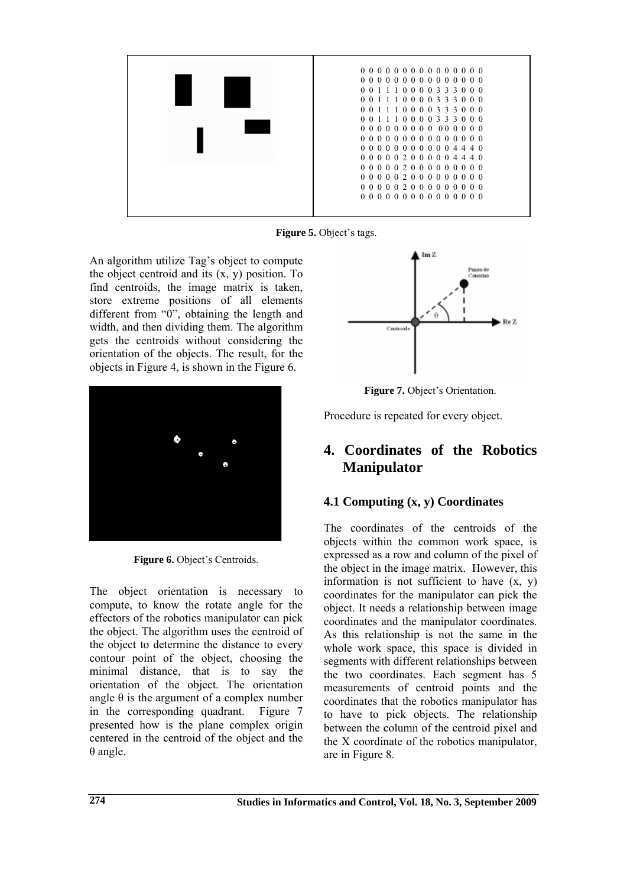

**Figure 5.** Object's tags.

An algorithm utilize Tag's object to compute the object centroid and its  $(x, y)$  position. To find centroids, the image matrix is taken, store extreme positions of all elements different from "0", obtaining the length and width, and then dividing them. The algorithm gets the centroids without considering the orientation of the objects. The result, for the objects in Figure 4, is shown in the Figure 6.



Figure 6. Object's Centroids.

The object orientation is necessary to compute, to know the rotate angle for the effectors of the robotics manipulator can pick the object. The algorithm uses the centroid of the object to determine the distance to every contour point of the object, choosing the minimal distance, that is to say the orientation of the object. The orientation angle  $\theta$  is the argument of a complex number in the corresponding quadrant. Figure 7 presented how is the plane complex origin centered in the centroid of the object and the θ angle.



**Figure 7.** Object's Orientation.

Procedure is repeated for every object.

# **4. Coordinates of the Robotics Manipulator**

### **4.1 Computing (x, y) Coordinates**

The coordinates of the centroids of the objects within the common work space, is expressed as a row and column of the pixel of the object in the image matrix. However, this information is not sufficient to have  $(x, y)$ coordinates for the manipulator can pick the object. It needs a relationship between image coordinates and the manipulator coordinates. As this relationship is not the same in the whole work space, this space is divided in segments with different relationships between the two coordinates. Each segment has 5 measurements of centroid points and the coordinates that the robotics manipulator has to have to pick objects. The relationship between the column of the centroid pixel and the X coordinate of the robotics manipulator, are in Figure 8.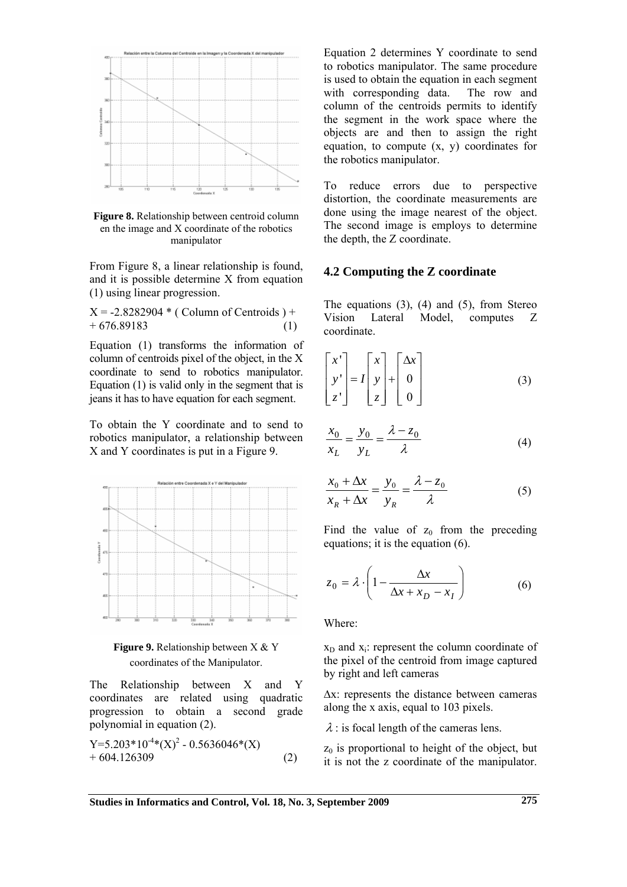

**Figure 8.** Relationship between centroid column en the image and X coordinate of the robotics manipulator

From Figure 8, a linear relationship is found, and it is possible determine X from equation (1) using linear progression.

 $X = -2.8282904$  \* (Column of Centroids) +  $+ 676.89183$  (1)

Equation (1) transforms the information of column of centroids pixel of the object, in the X coordinate to send to robotics manipulator. Equation (1) is valid only in the segment that is jeans it has to have equation for each segment.

To obtain the Y coordinate and to send to robotics manipulator, a relationship between X and Y coordinates is put in a Figure 9.





The Relationship between X and Y coordinates are related using quadratic progression to obtain a second grade polynomial in equation (2).

$$
Y=5.203*10-4(X)2 - 0.5636046*(X) + 604.126309
$$
 (2)

Equation 2 determines Y coordinate to send to robotics manipulator. The same procedure is used to obtain the equation in each segment with corresponding data. The row and column of the centroids permits to identify the segment in the work space where the objects are and then to assign the right equation, to compute  $(x, y)$  coordinates for the robotics manipulator.

To reduce errors due to perspective distortion, the coordinate measurements are done using the image nearest of the object. The second image is employs to determine the depth, the Z coordinate.

#### **4.2 Computing the Z coordinate**

The equations  $(3)$ ,  $(4)$  and  $(5)$ , from Stereo Vision Lateral Model, computes Z coordinate.

$$
\begin{bmatrix} x' \\ y' \\ z' \end{bmatrix} = I \begin{bmatrix} x \\ y \\ z \end{bmatrix} + \begin{bmatrix} \Delta x \\ 0 \\ 0 \end{bmatrix}
$$
 (3)

$$
\frac{x_0}{x_L} = \frac{y_0}{y_L} = \frac{\lambda - z_0}{\lambda}
$$
 (4)

$$
\frac{x_0 + \Delta x}{x_R + \Delta x} = \frac{y_0}{y_R} = \frac{\lambda - z_0}{\lambda}
$$
 (5)

Find the value of  $z_0$  from the preceding equations; it is the equation (6).

$$
z_0 = \lambda \cdot \left( 1 - \frac{\Delta x}{\Delta x + x_D - x_I} \right) \tag{6}
$$

Where:

 $x<sub>D</sub>$  and  $x<sub>i</sub>$ : represent the column coordinate of the pixel of the centroid from image captured by right and left cameras

Δx: represents the distance between cameras along the x axis, equal to 103 pixels.

 $\lambda$  : is focal length of the cameras lens.

 $z_0$  is proportional to height of the object, but it is not the z coordinate of the manipulator.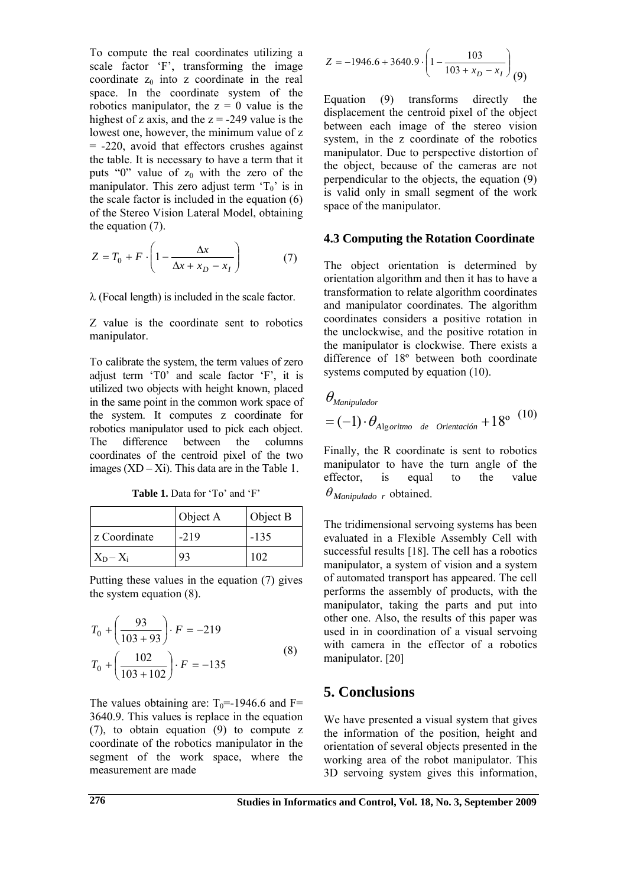To compute the real coordinates utilizing a scale factor 'F', transforming the image coordinate  $z_0$  into z coordinate in the real space. In the coordinate system of the robotics manipulator, the  $z = 0$  value is the highest of z axis, and the  $z = -249$  value is the lowest one, however, the minimum value of z  $= -220$ , avoid that effectors crushes against the table. It is necessary to have a term that it puts "0" value of  $z_0$  with the zero of the manipulator. This zero adjust term  $T_0$ ' is in the scale factor is included in the equation (6) of the Stereo Vision Lateral Model, obtaining the equation (7).

$$
Z = T_0 + F \cdot \left(1 - \frac{\Delta x}{\Delta x + x_D - x_I}\right) \tag{7}
$$

λ (Focal length) is included in the scale factor.

Z value is the coordinate sent to robotics manipulator.

To calibrate the system, the term values of zero adjust term 'T0' and scale factor 'F', it is utilized two objects with height known, placed in the same point in the common work space of the system. It computes z coordinate for robotics manipulator used to pick each object. The difference between the columns coordinates of the centroid pixel of the two images  $(XD - Xi)$ . This data are in the Table 1.

**Table 1.** Data for 'To' and 'F'

|              | Object A | Object B |
|--------------|----------|----------|
| z Coordinate | $-219$   | $-135$   |
| $X_D - X_i$  |          | 102      |

Putting these values in the equation (7) gives the system equation (8).

$$
T_0 + \left(\frac{93}{103 + 93}\right) \cdot F = -219
$$
  

$$
T_0 + \left(\frac{102}{103 + 102}\right) \cdot F = -135
$$
 (8)

The values obtaining are:  $T_0 = -1946.6$  and F= 3640.9. This values is replace in the equation (7), to obtain equation (9) to compute z coordinate of the robotics manipulator in the segment of the work space, where the measurement are made

$$
Z = -1946.6 + 3640.9 \cdot \left(1 - \frac{103}{103 + x_D - x_I}\right) (9)
$$

Equation (9) transforms directly the displacement the centroid pixel of the object between each image of the stereo vision system, in the z coordinate of the robotics manipulator. Due to perspective distortion of the object, because of the cameras are not perpendicular to the objects, the equation (9) is valid only in small segment of the work space of the manipulator.

#### **4.3 Computing the Rotation Coordinate**

The object orientation is determined by orientation algorithm and then it has to have a transformation to relate algorithm coordinates and manipulator coordinates. The algorithm coordinates considers a positive rotation in the unclockwise, and the positive rotation in the manipulator is clockwise. There exists a difference of 18º between both coordinate systems computed by equation (10).

$$
\theta_{\text{Manipulator}}
$$
  
=  $(-1) \cdot \theta_{\text{Algorithmo de Orientación}} + 18^{\circ} {}^{(10)}$ 

Finally, the R coordinate is sent to robotics manipulator to have the turn angle of the effector, is equal to the value  $\theta_{\text{Mannivalado}}$  *r* obtained.

The tridimensional servoing systems has been evaluated in a Flexible Assembly Cell with successful results [18]. The cell has a robotics manipulator, a system of vision and a system of automated transport has appeared. The cell performs the assembly of products, with the manipulator, taking the parts and put into other one. Also, the results of this paper was used in in coordination of a visual servoing with camera in the effector of a robotics manipulator. [20]

### **5. Conclusions**

We have presented a visual system that gives the information of the position, height and orientation of several objects presented in the working area of the robot manipulator. This 3D servoing system gives this information,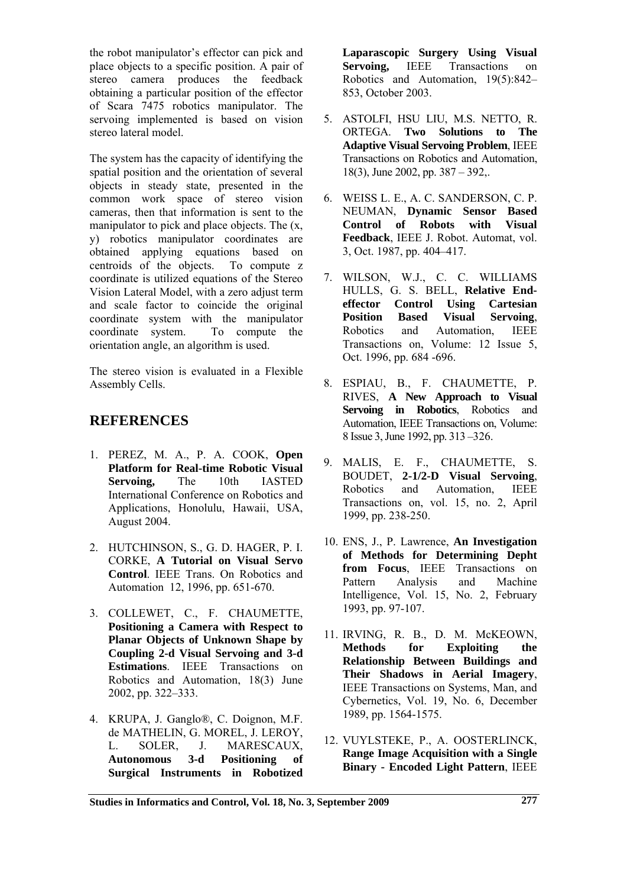the robot manipulator's effector can pick and place objects to a specific position. A pair of stereo camera produces the feedback obtaining a particular position of the effector of Scara 7475 robotics manipulator. The servoing implemented is based on vision stereo lateral model.

The system has the capacity of identifying the spatial position and the orientation of several objects in steady state, presented in the common work space of stereo vision cameras, then that information is sent to the manipulator to pick and place objects. The (x, y) robotics manipulator coordinates are obtained applying equations based on centroids of the objects. To compute z coordinate is utilized equations of the Stereo Vision Lateral Model, with a zero adjust term and scale factor to coincide the original coordinate system with the manipulator coordinate system. To compute the orientation angle, an algorithm is used.

The stereo vision is evaluated in a Flexible Assembly Cells.

### **REFERENCES**

- 1. PEREZ, M. A., P. A. COOK, **Open Platform for Real-time Robotic Visual Servoing,** The 10th IASTED International Conference on Robotics and Applications, Honolulu, Hawaii, USA, August 2004.
- 2. HUTCHINSON, S., G. D. HAGER, P. I. CORKE, **A Tutorial on Visual Servo Control**. IEEE Trans. On Robotics and Automation 12, 1996, pp. 651-670.
- 3. COLLEWET, C., F. CHAUMETTE, **Positioning a Camera with Respect to Planar Objects of Unknown Shape by Coupling 2-d Visual Servoing and 3-d Estimations**. IEEE Transactions on Robotics and Automation, 18(3) June 2002, pp. 322–333.
- 4. KRUPA, J. Ganglo®, C. Doignon, M.F. de MATHELIN, G. MOREL, J. LEROY, L. SOLER, J. MARESCAUX, **Autonomous 3-d Positioning of Surgical Instruments in Robotized**

**Laparascopic Surgery Using Visual Servoing,** IEEE Transactions on Robotics and Automation, 19(5):842– 853, October 2003.

- 5. ASTOLFI, HSU LIU, M.S. NETTO, R. ORTEGA. **Two Solutions to The Adaptive Visual Servoing Problem**, IEEE Transactions on Robotics and Automation, 18(3), June 2002, pp. 387 – 392,.
- 6. WEISS L. E., A. C. SANDERSON, C. P. NEUMAN, **Dynamic Sensor Based Control of Robots with Visual Feedback**, IEEE J. Robot. Automat, vol. 3, Oct. 1987, pp. 404–417.
- 7. WILSON, W.J., C. C. WILLIAMS HULLS, G. S. BELL, **Relative Endeffector Control Using Cartesian Position Based Visual Servoing**, Robotics and Automation, IEEE Transactions on, Volume: 12 Issue 5, Oct. 1996, pp. 684 -696.
- 8. ESPIAU, B., F. CHAUMETTE, P. RIVES, **A New Approach to Visual Servoing in Robotics**, Robotics and Automation, IEEE Transactions on, Volume: 8 Issue 3, June 1992, pp. 313 –326.
- 9. MALIS, E. F., CHAUMETTE, S. BOUDET, **2-1/2-D Visual Servoing**, Robotics and Automation, IEEE Transactions on, vol. 15, no. 2, April 1999, pp. 238-250.
- 10. ENS, J., P. Lawrence, **An Investigation of Methods for Determining Depht from Focus**, IEEE Transactions on Pattern Analysis and Machine Intelligence, Vol. 15, No. 2, February 1993, pp. 97-107.
- 11. IRVING, R. B., D. M. McKEOWN, **Methods for Exploiting the Relationship Between Buildings and Their Shadows in Aerial Imagery**, IEEE Transactions on Systems, Man, and Cybernetics, Vol. 19, No. 6, December 1989, pp. 1564-1575.
- 12. VUYLSTEKE, P., A. OOSTERLINCK, **Range Image Acquisition with a Single Binary - Encoded Light Pattern**, IEEE

**Studies in Informatics and Control, Vol. 18, No. 3, September 2009 277**